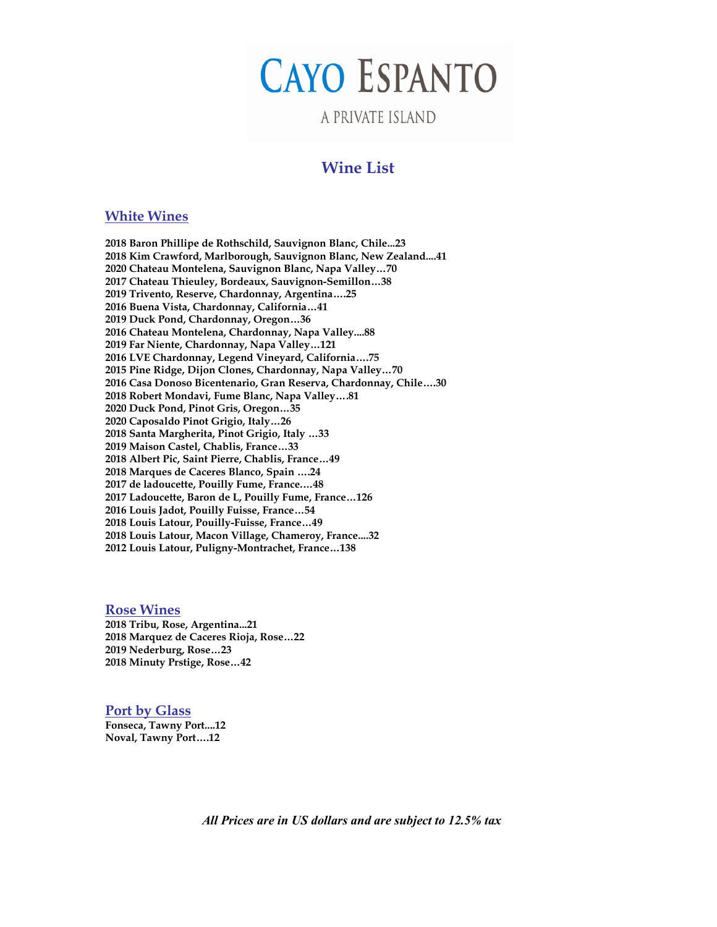# **CAYO ESPANTO**

## A PRIVATE ISLAND

## **Wine List**

#### **White Wines**

**2018 Baron Phillipe de Rothschild, Sauvignon Blanc, Chile...23 2018 Kim Crawford, Marlborough, Sauvignon Blanc, New Zealand....41 2020 Chateau Montelena, Sauvignon Blanc, Napa Valley…70 2017 Chateau Thieuley, Bordeaux, Sauvignon-Semillon…38 2019 Trivento, Reserve, Chardonnay, Argentina….25 2016 Buena Vista, Chardonnay, California…41 2019 Duck Pond, Chardonnay, Oregon…36 2016 Chateau Montelena, Chardonnay, Napa Valley....88 2019 Far Niente, Chardonnay, Napa Valley…121 2016 LVE Chardonnay, Legend Vineyard, California….75 2015 Pine Ridge, Dijon Clones, Chardonnay, Napa Valley…70 2016 Casa Donoso Bicentenario, Gran Reserva, Chardonnay, Chile….30 2018 Robert Mondavi, Fume Blanc, Napa Valley….81 2020 Duck Pond, Pinot Gris, Oregon…35 2020 Caposaldo Pinot Grigio, Italy…26 2018 Santa Margherita, Pinot Grigio, Italy …33 2019 Maison Castel, Chablis, France…33 2018 Albert Pic, Saint Pierre, Chablis, France…49 2018 Marques de Caceres Blanco, Spain ….24 2017 de ladoucette, Pouilly Fume, France.…48 2017 Ladoucette, Baron de L, Pouilly Fume, France…126 2016 Louis Jadot, Pouilly Fuisse, France…54 2018 Louis Latour, Pouilly-Fuisse, France…49 2018 Louis Latour, Macon Village, Chameroy, France....32 2012 Louis Latour, Puligny-Montrachet, France…138**

**Rose Wines 2018 Tribu, Rose, Argentina...21 2018 Marquez de Caceres Rioja, Rose…22 2019 Nederburg, Rose…23 2018 Minuty Prstige, Rose…42**

#### **Port by Glass**

**Fonseca, Tawny Port....12 Noval, Tawny Port….12**

*All Prices are in US dollars and are subject to 12.5% tax*